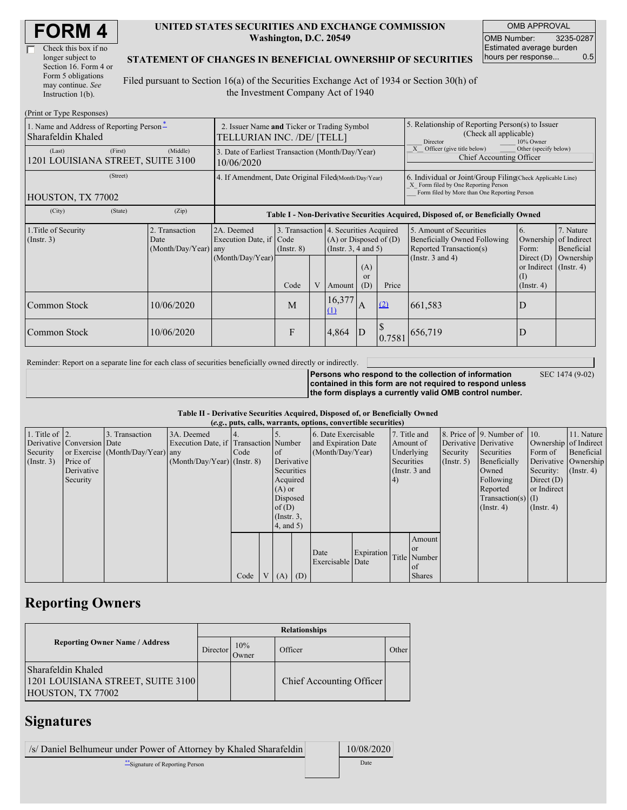| Check this box if no  |
|-----------------------|
| longer subject to     |
| Section 16. Form 4 or |
| Form 5 obligations    |
| may continue. See     |
| Instruction $1(b)$ .  |

#### **UNITED STATES SECURITIES AND EXCHANGE COMMISSION Washington, D.C. 20549**

OMB APPROVAL OMB Number: 3235-0287 Estimated average burden hours per response... 0.5

### **STATEMENT OF CHANGES IN BENEFICIAL OWNERSHIP OF SECURITIES**

Filed pursuant to Section 16(a) of the Securities Exchange Act of 1934 or Section 30(h) of the Investment Company Act of 1940

| (Print or Type Responses)                                      |                                                                           |                                                  |                                                                                  |                 |   |                                                                                             |                                                                                                                                                    |        |                                                                                    |                                                                         |                                        |  |
|----------------------------------------------------------------|---------------------------------------------------------------------------|--------------------------------------------------|----------------------------------------------------------------------------------|-----------------|---|---------------------------------------------------------------------------------------------|----------------------------------------------------------------------------------------------------------------------------------------------------|--------|------------------------------------------------------------------------------------|-------------------------------------------------------------------------|----------------------------------------|--|
| 1. Name and Address of Reporting Person-<br>Sharafeldin Khaled | 2. Issuer Name and Ticker or Trading Symbol<br>TELLURIAN INC. /DE/ [TELL] |                                                  |                                                                                  |                 |   |                                                                                             | 5. Relationship of Reporting Person(s) to Issuer<br>(Check all applicable)<br>10% Owner<br><b>Director</b>                                         |        |                                                                                    |                                                                         |                                        |  |
| (Last)<br>1201 LOUISIANA STREET, SUITE 3100                    | (First)                                                                   | (Middle)                                         | 3. Date of Earliest Transaction (Month/Day/Year)<br>10/06/2020                   |                 |   |                                                                                             |                                                                                                                                                    |        | Other (specify below)<br>Officer (give title below)<br>Chief Accounting Officer    |                                                                         |                                        |  |
| HOUSTON, TX 77002                                              | 4. If Amendment, Date Original Filed(Month/Day/Year)                      |                                                  |                                                                                  |                 |   |                                                                                             | 6. Individual or Joint/Group Filing Check Applicable Line)<br>X Form filed by One Reporting Person<br>Form filed by More than One Reporting Person |        |                                                                                    |                                                                         |                                        |  |
| (City)                                                         | (State)                                                                   | (Zip)                                            | Table I - Non-Derivative Securities Acquired, Disposed of, or Beneficially Owned |                 |   |                                                                                             |                                                                                                                                                    |        |                                                                                    |                                                                         |                                        |  |
| 1. Title of Security<br>$($ Instr. 3 $)$                       |                                                                           | 2. Transaction<br>Date<br>$(Month/Day/Year)$ any | 2A. Deemed<br>Execution Date, if Code<br>(Month/Day/Year)                        | $($ Instr. $8)$ |   | 3. Transaction 4. Securities Acquired<br>$(A)$ or Disposed of $(D)$<br>(Insert. 3, 4 and 5) |                                                                                                                                                    |        | 5. Amount of Securities<br>Beneficially Owned Following<br>Reported Transaction(s) | <b>6.</b><br>Ownership<br>Form:                                         | 7. Nature<br>of Indirect<br>Beneficial |  |
|                                                                |                                                                           |                                                  |                                                                                  | Code            | V | Amount                                                                                      | (A)<br><sub>or</sub><br>(D)                                                                                                                        | Price  | (Instr. $3$ and $4$ )                                                              | Direct $(D)$<br>or Indirect $($ Instr. 4)<br>$($ I)<br>$($ Instr. 4 $)$ | Ownership                              |  |
| Common Stock                                                   |                                                                           | 10/06/2020                                       |                                                                                  | M               |   | 16,377<br>$\Omega$                                                                          | $\overline{A}$                                                                                                                                     | (2)    | 661,583                                                                            | D                                                                       |                                        |  |
| Common Stock                                                   |                                                                           | 10/06/2020                                       |                                                                                  | F               |   | 4,864                                                                                       | ID                                                                                                                                                 | 0.7581 | 656,719                                                                            | D                                                                       |                                        |  |

Reminder: Report on a separate line for each class of securities beneficially owned directly or indirectly.

**Persons who respond to the collection of information**

SEC 1474 (9-02)

**contained in this form are not required to respond unless the form displays a currently valid OMB control number.**

**Table II - Derivative Securities Acquired, Disposed of, or Beneficially Owned**

|                        | (e.g., puts, calls, warrants, options, convertible securities) |                                  |                                       |      |  |                 |            |                     |               |              |                  |                       |                          |                       |            |
|------------------------|----------------------------------------------------------------|----------------------------------|---------------------------------------|------|--|-----------------|------------|---------------------|---------------|--------------|------------------|-----------------------|--------------------------|-----------------------|------------|
| 1. Title of $\vert$ 2. |                                                                | 3. Transaction                   | 3A. Deemed                            |      |  |                 |            | 6. Date Exercisable |               | 7. Title and |                  |                       | 8. Price of 9. Number of | $\vert$ 10.           | 11. Nature |
|                        | Derivative Conversion Date                                     |                                  | Execution Date, if Transaction Number |      |  |                 |            | and Expiration Date |               | Amount of    |                  | Derivative Derivative |                          | Ownership of Indirect |            |
| Security               |                                                                | or Exercise (Month/Day/Year) any |                                       | Code |  | <sub>of</sub>   |            | (Month/Day/Year)    |               | Underlying   |                  | Security              | Securities               | Form of               | Beneficial |
| (Insert. 3)            | Price of                                                       |                                  | $(Month/Day/Year)$ (Instr. 8)         |      |  |                 | Derivative |                     | Securities    |              | $($ Instr. 5 $)$ | Beneficially          |                          | Derivative Ownership  |            |
|                        | Derivative                                                     |                                  |                                       |      |  | Securities      |            |                     | (Instr. 3 and |              | Owned            | Security:             | $($ Instr. 4 $)$         |                       |            |
|                        | Security                                                       |                                  |                                       |      |  | Acquired        |            |                     | 4)            |              |                  | Following             | Direct $(D)$             |                       |            |
|                        |                                                                |                                  |                                       |      |  | $(A)$ or        |            |                     |               |              |                  | Reported              | or Indirect              |                       |            |
|                        |                                                                |                                  |                                       |      |  | Disposed        |            |                     |               |              |                  |                       | Transaction(s) $(I)$     |                       |            |
|                        |                                                                |                                  |                                       |      |  | of $(D)$        |            |                     |               |              |                  |                       | $($ Instr. 4 $)$         | $($ Instr. 4 $)$      |            |
|                        |                                                                |                                  |                                       |      |  | $($ Instr. $3,$ |            |                     |               |              |                  |                       |                          |                       |            |
|                        |                                                                |                                  |                                       |      |  | (4, and 5)      |            |                     |               |              |                  |                       |                          |                       |            |
|                        |                                                                |                                  |                                       |      |  |                 |            |                     |               |              | Amount           |                       |                          |                       |            |
|                        |                                                                |                                  |                                       |      |  |                 |            |                     |               |              | <sub>or</sub>    |                       |                          |                       |            |
|                        |                                                                |                                  |                                       |      |  |                 |            | Date                | Expiration    |              | Title Number     |                       |                          |                       |            |
|                        |                                                                |                                  |                                       |      |  |                 |            | Exercisable Date    |               |              | of               |                       |                          |                       |            |
|                        |                                                                |                                  |                                       | Code |  | $V(A)$ (D)      |            |                     |               |              | <b>Shares</b>    |                       |                          |                       |            |

## **Reporting Owners**

|                                                                              | <b>Relationships</b> |              |                          |       |  |  |  |  |
|------------------------------------------------------------------------------|----------------------|--------------|--------------------------|-------|--|--|--|--|
| <b>Reporting Owner Name / Address</b>                                        | Director             | 10%<br>Owner | Officer                  | Other |  |  |  |  |
| Sharafeldin Khaled<br>1201 LOUISIANA STREET, SUITE 3100<br>HOUSTON, TX 77002 |                      |              | Chief Accounting Officer |       |  |  |  |  |

## **Signatures**

/s/ Daniel Belhumeur under Power of Attorney by Khaled Sharafeldin 10/08/2020

\*\*Signature of Reporting Person Date